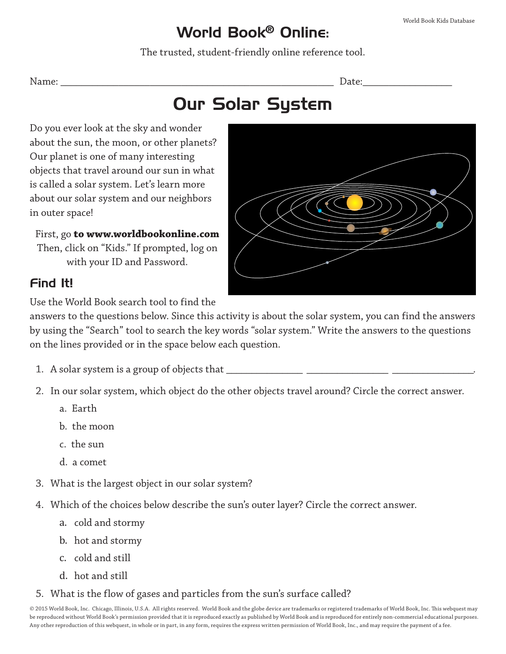## World Book® Online:

The trusted, student-friendly online reference tool.

Name: \_\_\_\_\_\_\_\_\_\_\_\_\_\_\_\_\_\_\_\_\_\_\_\_\_\_\_\_\_\_\_\_\_\_\_\_\_\_\_\_\_\_\_\_\_\_\_\_\_\_\_\_ Date:\_\_\_\_\_\_\_\_\_\_\_\_\_\_\_\_\_

# Our Solar System

Do you ever look at the sky and wonder about the sun, the moon, or other planets? Our planet is one of many interesting objects that travel around our sun in what is called a solar system. Let's learn more about our solar system and our neighbors in outer space!

First, go **to www.worldbookonline.com** Then, click on "Kids." If prompted, log on with your ID and Password.

## Find It!

Use the World Book search tool to find the

answers to the questions below. Since this activity is about the solar system, you can find the answers by using the "Search" tool to search the key words "solar system." Write the answers to the questions on the lines provided or in the space below each question.

- 1. A solar system is a group of objects that \_\_\_\_\_\_\_\_\_\_\_\_\_\_\_ \_\_\_\_\_\_\_\_\_\_\_\_\_\_\_\_ \_\_\_\_\_\_\_\_\_\_\_\_\_\_\_\_.
- 2. In our solar system, which object do the other objects travel around? Circle the correct answer.
	- a. Earth
	- b. the moon
	- c. the sun
	- d. a comet
- 3. What is the largest object in our solar system?
- 4. Which of the choices below describe the sun's outer layer? Circle the correct answer.
	- a. cold and stormy
	- b. hot and stormy
	- c. cold and still
	- d. hot and still
- 5. What is the flow of gases and particles from the sun's surface called?

© 2015 World Book, Inc. Chicago, Illinois, U.S.A. All rights reserved. World Book and the globe device are trademarks or registered trademarks of World Book, Inc. This webquest may be reproduced without World Book's permission provided that it is reproduced exactly as published by World Book and is reproduced for entirely non-commercial educational purposes. Any other reproduction of this webquest, in whole or in part, in any form, requires the express written permission of World Book, Inc., and may require the payment of a fee.

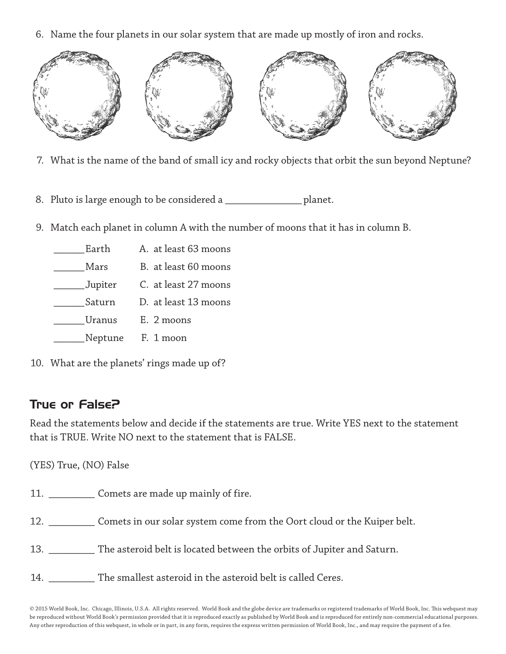6. Name the four planets in our solar system that are made up mostly of iron and rocks.



- 7. What is the name of the band of small icy and rocky objects that orbit the sun beyond Neptune?
- 8. Pluto is large enough to be considered a \_\_\_\_\_\_\_\_\_\_\_\_\_\_\_\_ planet.
- 9. Match each planet in column A with the number of moons that it has in column B.

| Earth         | A. at least 63 moons |
|---------------|----------------------|
| Mars          | B. at least 60 moons |
| Jupiter       | C. at least 27 moons |
| Saturn        | D. at least 13 moons |
| <b>Uranus</b> | E. 2 moons           |
| Neptune       | F. 1 moon            |

10. What are the planets' rings made up of?

## True or False?

Read the statements below and decide if the statements are true. Write YES next to the statement that is TRUE. Write NO next to the statement that is FALSE.

(YES) True, (NO) False

| 11. |  |  | Comets are made up mainly of fire. |  |  |  |
|-----|--|--|------------------------------------|--|--|--|
|-----|--|--|------------------------------------|--|--|--|

- 12. \_\_\_\_\_\_\_\_\_ Comets in our solar system come from the Oort cloud or the Kuiper belt.
- 13. \_\_\_\_\_\_\_\_\_ The asteroid belt is located between the orbits of Jupiter and Saturn.
- 14. The smallest asteroid in the asteroid belt is called Ceres.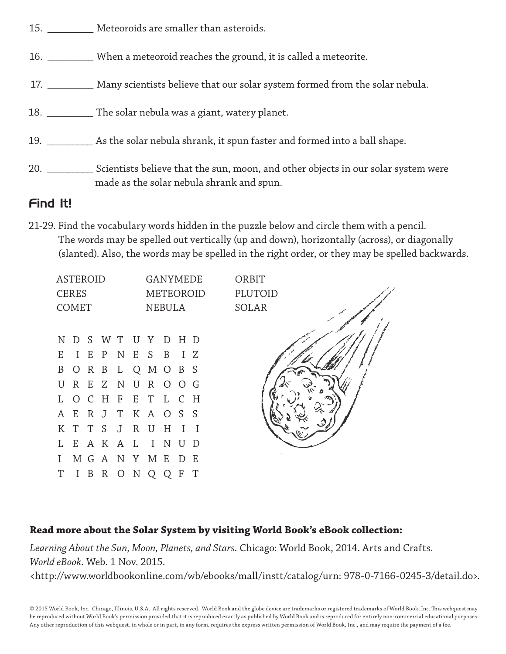- 15. **Meteoroids are smaller than asteroids.**
- 16. \_\_\_\_\_\_\_\_\_ When a meteoroid reaches the ground, it is called a meteorite.
- 17. \_\_\_\_\_\_\_\_\_\_\_ Many scientists believe that our solar system formed from the solar nebula.
- 18. \_\_\_\_\_\_\_\_\_ The solar nebula was a giant, watery planet.
- 19. \_\_\_\_\_\_\_\_\_ As the solar nebula shrank, it spun faster and formed into a ball shape.
- 20. \_\_\_\_\_\_\_\_\_\_\_\_ Scientists believe that the sun, moon, and other objects in our solar system were made as the solar nebula shrank and spun.

#### Find It!

21-29. Find the vocabulary words hidden in the puzzle below and circle them with a pencil. The words may be spelled out vertically (up and down), horizontally (across), or diagonally (slanted). Also, the words may be spelled in the right order, or they may be spelled backwards.

| <b>ASTEROID</b><br><b>CERES</b><br><b>COMET</b> |          |   |                     |                | <b>NEBULA</b> |     | GANYMEDE<br>METEOROID | ORBIT<br>PLUTOID<br>SOLAR |  |
|-------------------------------------------------|----------|---|---------------------|----------------|---------------|-----|-----------------------|---------------------------|--|
|                                                 |          |   | NDSWTUYDHD          |                |               |     |                       |                           |  |
|                                                 |          |   | E I E P N E S B I Z |                |               |     |                       |                           |  |
|                                                 |          |   | B O R B L Q M O B S |                |               |     |                       |                           |  |
|                                                 |          |   | UREZNUROOG          |                |               |     |                       |                           |  |
|                                                 |          |   | L O C H F E T L C H |                |               |     |                       |                           |  |
|                                                 |          |   | A E R J T K A O S S |                |               |     |                       |                           |  |
|                                                 |          |   | KTTS JRUH           |                |               |     | $\top$                | $\overline{1}$            |  |
|                                                 |          |   | L E A K A L I N U D |                |               |     |                       |                           |  |
| L                                               |          |   | M G A N Y M E D E   |                |               |     |                       |                           |  |
| T                                               | $\bf{I}$ | B | $\mathbb{R}$        | $\overline{O}$ | $\mathbf N$   | Q Q | F                     | T                         |  |

#### **Read more about the Solar System by visiting World Book's eBook collection:**

*Learning About the Sun, Moon, Planets, and Stars.* Chicago: World Book, 2014. Arts and Crafts. *World eBook*. Web. 1 Nov. 2015.

<http://www.worldbookonline.com/wb/ebooks/mall/instt/catalog/urn: 978-0-7166-0245-3/detail.do>.